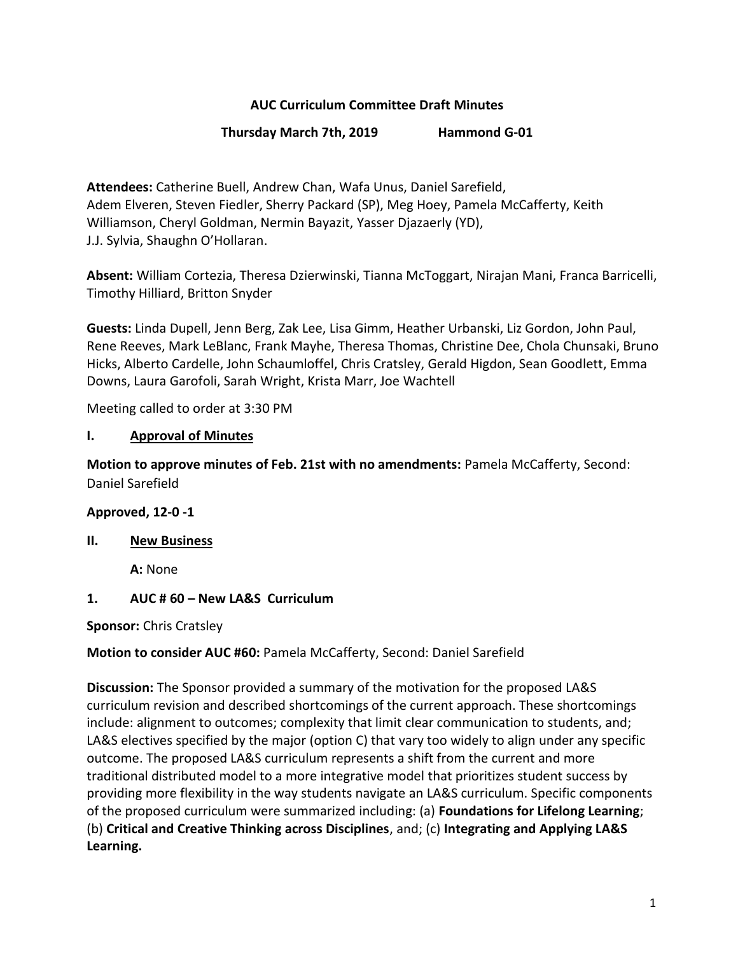## **AUC Curriculum Committee Draft Minutes**

### **Thursday March 7th, 2019 Hammond G-01**

**Attendees:** Catherine Buell, Andrew Chan, Wafa Unus, Daniel Sarefield, Adem Elveren, Steven Fiedler, Sherry Packard (SP), Meg Hoey, Pamela McCafferty, Keith Williamson, Cheryl Goldman, Nermin Bayazit, Yasser Djazaerly (YD), J.J. Sylvia, Shaughn O'Hollaran.

**Absent:** William Cortezia, Theresa Dzierwinski, Tianna McToggart, Nirajan Mani, Franca Barricelli, Timothy Hilliard, Britton Snyder

**Guests:** Linda Dupell, Jenn Berg, Zak Lee, Lisa Gimm, Heather Urbanski, Liz Gordon, John Paul, Rene Reeves, Mark LeBlanc, Frank Mayhe, Theresa Thomas, Christine Dee, Chola Chunsaki, Bruno Hicks, Alberto Cardelle, John Schaumloffel, Chris Cratsley, Gerald Higdon, Sean Goodlett, Emma Downs, Laura Garofoli, Sarah Wright, Krista Marr, Joe Wachtell

Meeting called to order at 3:30 PM

#### **I. Approval of Minutes**

**Motion to approve minutes of Feb. 21st with no amendments:** Pamela McCafferty, Second: Daniel Sarefield

#### **Approved, 12-0 -1**

#### **II. New Business**

**A:** None

#### **1. AUC # 60 – New LA&S Curriculum**

**Sponsor:** Chris Cratsley

#### **Motion to consider AUC #60:** Pamela McCafferty, Second: Daniel Sarefield

**Discussion:** The Sponsor provided a summary of the motivation for the proposed LA&S curriculum revision and described shortcomings of the current approach. These shortcomings include: alignment to outcomes; complexity that limit clear communication to students, and; LA&S electives specified by the major (option C) that vary too widely to align under any specific outcome. The proposed LA&S curriculum represents a shift from the current and more traditional distributed model to a more integrative model that prioritizes student success by providing more flexibility in the way students navigate an LA&S curriculum. Specific components of the proposed curriculum were summarized including: (a) **Foundations for Lifelong Learning**; (b) **Critical and Creative Thinking across Disciplines**, and; (c) **Integrating and Applying LA&S Learning.**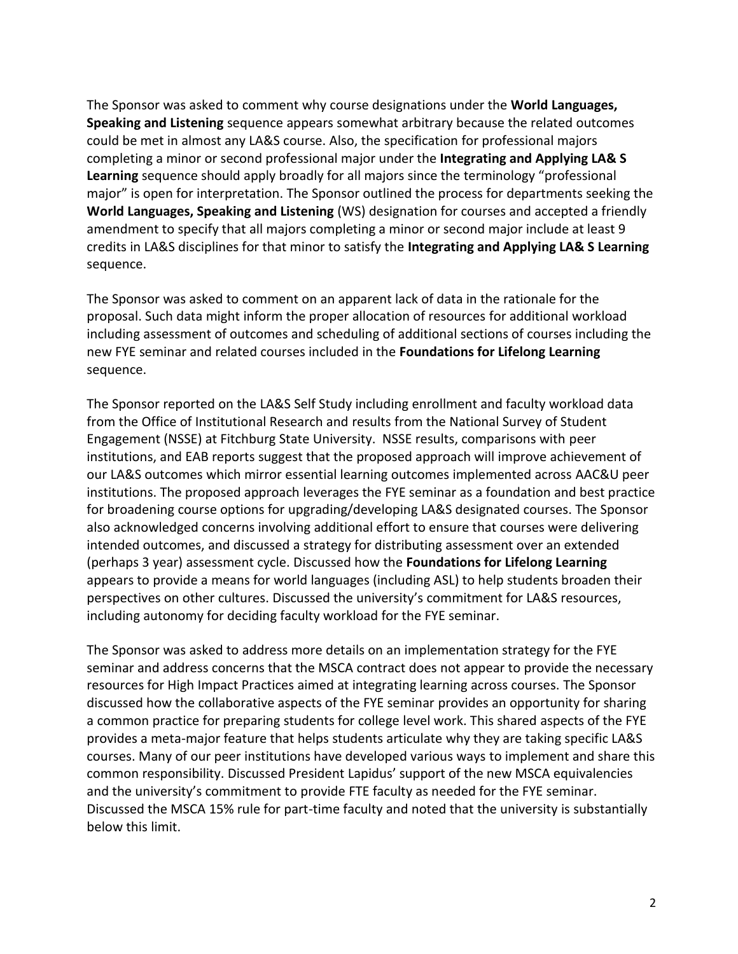The Sponsor was asked to comment why course designations under the **World Languages, Speaking and Listening** sequence appears somewhat arbitrary because the related outcomes could be met in almost any LA&S course. Also, the specification for professional majors completing a minor or second professional major under the **Integrating and Applying LA& S Learning** sequence should apply broadly for all majors since the terminology "professional major" is open for interpretation. The Sponsor outlined the process for departments seeking the **World Languages, Speaking and Listening** (WS) designation for courses and accepted a friendly amendment to specify that all majors completing a minor or second major include at least 9 credits in LA&S disciplines for that minor to satisfy the **Integrating and Applying LA& S Learning** sequence.

The Sponsor was asked to comment on an apparent lack of data in the rationale for the proposal. Such data might inform the proper allocation of resources for additional workload including assessment of outcomes and scheduling of additional sections of courses including the new FYE seminar and related courses included in the **Foundations for Lifelong Learning** sequence.

The Sponsor reported on the LA&S Self Study including enrollment and faculty workload data from the Office of Institutional Research and results from the National Survey of Student Engagement (NSSE) at Fitchburg State University. NSSE results, comparisons with peer institutions, and EAB reports suggest that the proposed approach will improve achievement of our LA&S outcomes which mirror essential learning outcomes implemented across AAC&U peer institutions. The proposed approach leverages the FYE seminar as a foundation and best practice for broadening course options for upgrading/developing LA&S designated courses. The Sponsor also acknowledged concerns involving additional effort to ensure that courses were delivering intended outcomes, and discussed a strategy for distributing assessment over an extended (perhaps 3 year) assessment cycle. Discussed how the **Foundations for Lifelong Learning** appears to provide a means for world languages (including ASL) to help students broaden their perspectives on other cultures. Discussed the university's commitment for LA&S resources, including autonomy for deciding faculty workload for the FYE seminar.

The Sponsor was asked to address more details on an implementation strategy for the FYE seminar and address concerns that the MSCA contract does not appear to provide the necessary resources for High Impact Practices aimed at integrating learning across courses. The Sponsor discussed how the collaborative aspects of the FYE seminar provides an opportunity for sharing a common practice for preparing students for college level work. This shared aspects of the FYE provides a meta-major feature that helps students articulate why they are taking specific LA&S courses. Many of our peer institutions have developed various ways to implement and share this common responsibility. Discussed President Lapidus' support of the new MSCA equivalencies and the university's commitment to provide FTE faculty as needed for the FYE seminar. Discussed the MSCA 15% rule for part-time faculty and noted that the university is substantially below this limit.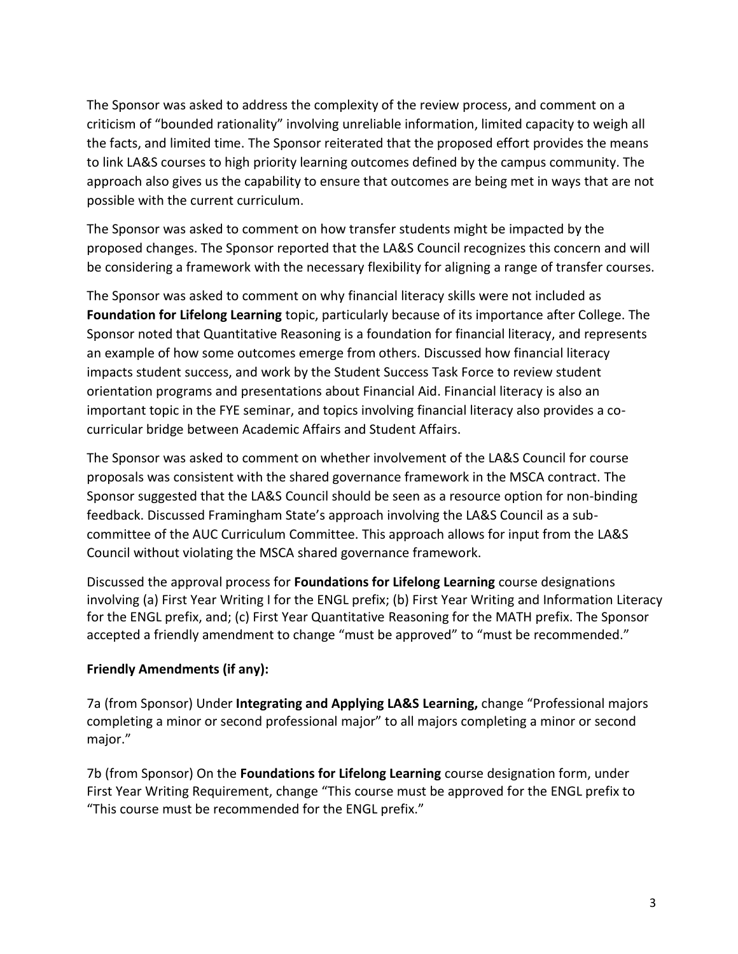The Sponsor was asked to address the complexity of the review process, and comment on a criticism of "bounded rationality" involving unreliable information, limited capacity to weigh all the facts, and limited time. The Sponsor reiterated that the proposed effort provides the means to link LA&S courses to high priority learning outcomes defined by the campus community. The approach also gives us the capability to ensure that outcomes are being met in ways that are not possible with the current curriculum.

The Sponsor was asked to comment on how transfer students might be impacted by the proposed changes. The Sponsor reported that the LA&S Council recognizes this concern and will be considering a framework with the necessary flexibility for aligning a range of transfer courses.

The Sponsor was asked to comment on why financial literacy skills were not included as **Foundation for Lifelong Learning** topic, particularly because of its importance after College. The Sponsor noted that Quantitative Reasoning is a foundation for financial literacy, and represents an example of how some outcomes emerge from others. Discussed how financial literacy impacts student success, and work by the Student Success Task Force to review student orientation programs and presentations about Financial Aid. Financial literacy is also an important topic in the FYE seminar, and topics involving financial literacy also provides a cocurricular bridge between Academic Affairs and Student Affairs.

The Sponsor was asked to comment on whether involvement of the LA&S Council for course proposals was consistent with the shared governance framework in the MSCA contract. The Sponsor suggested that the LA&S Council should be seen as a resource option for non-binding feedback. Discussed Framingham State's approach involving the LA&S Council as a subcommittee of the AUC Curriculum Committee. This approach allows for input from the LA&S Council without violating the MSCA shared governance framework.

Discussed the approval process for **Foundations for Lifelong Learning** course designations involving (a) First Year Writing I for the ENGL prefix; (b) First Year Writing and Information Literacy for the ENGL prefix, and; (c) First Year Quantitative Reasoning for the MATH prefix. The Sponsor accepted a friendly amendment to change "must be approved" to "must be recommended."

# **Friendly Amendments (if any):**

7a (from Sponsor) Under **Integrating and Applying LA&S Learning,** change "Professional majors completing a minor or second professional major" to all majors completing a minor or second major."

7b (from Sponsor) On the **Foundations for Lifelong Learning** course designation form, under First Year Writing Requirement, change "This course must be approved for the ENGL prefix to "This course must be recommended for the ENGL prefix."